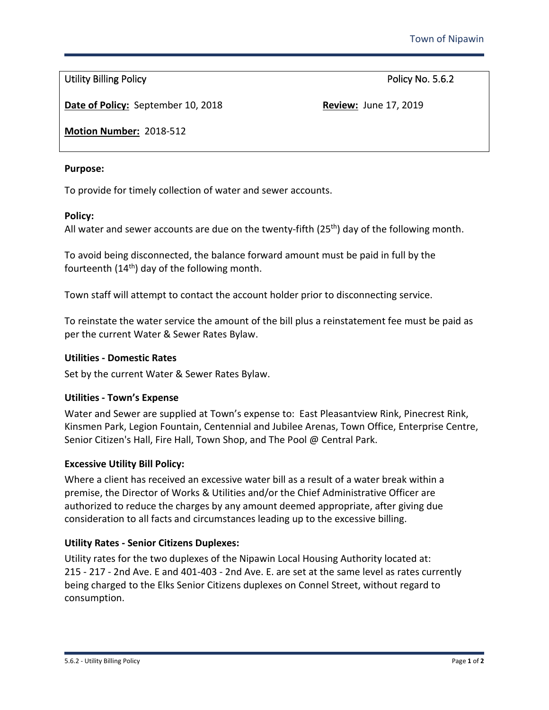Utility Billing Policy **Policy Policy** Policy No. 5.6.2

**Date of Policy:** September 10, 2018 **Review:** June 17, 2019

**Motion Number:** 2018-512

### **Purpose:**

To provide for timely collection of water and sewer accounts.

### **Policy:**

All water and sewer accounts are due on the twenty-fifth ( $25<sup>th</sup>$ ) day of the following month.

To avoid being disconnected, the balance forward amount must be paid in full by the fourteenth (14<sup>th</sup>) day of the following month.

Town staff will attempt to contact the account holder prior to disconnecting service.

To reinstate the water service the amount of the bill plus a reinstatement fee must be paid as per the current Water & Sewer Rates Bylaw.

### **Utilities - Domestic Rates**

Set by the current Water & Sewer Rates Bylaw.

# **Utilities - Town's Expense**

Water and Sewer are supplied at Town's expense to: East Pleasantview Rink, Pinecrest Rink, Kinsmen Park, Legion Fountain, Centennial and Jubilee Arenas, Town Office, Enterprise Centre, Senior Citizen's Hall, Fire Hall, Town Shop, and The Pool @ Central Park.

# **Excessive Utility Bill Policy:**

Where a client has received an excessive water bill as a result of a water break within a premise, the Director of Works & Utilities and/or the Chief Administrative Officer are authorized to reduce the charges by any amount deemed appropriate, after giving due consideration to all facts and circumstances leading up to the excessive billing.

# **Utility Rates - Senior Citizens Duplexes:**

Utility rates for the two duplexes of the Nipawin Local Housing Authority located at: 215 - 217 - 2nd Ave. E and 401-403 - 2nd Ave. E. are set at the same level as rates currently being charged to the Elks Senior Citizens duplexes on Connel Street, without regard to consumption.